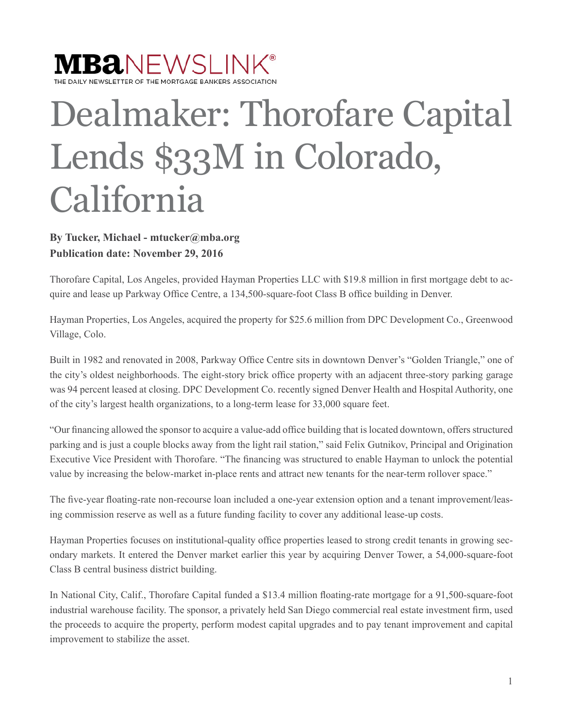## $\textbf{MBA}\textcolor{black}{\textsf{NEWSLINK}^*}$ LY NEWSLETTER OF THE MORTGAGE BANKERS ASSOCIATION

Dealmaker: Thorofare Capital Lends \$33M in Colorado, California

## **By Tucker, Michael - mtucker@mba.org Publication date: November 29, 2016**

Thorofare Capital, Los Angeles, provided Hayman Properties LLC with \$19.8 million in first mortgage debt to acquire and lease up Parkway Office Centre, a 134,500-square-foot Class B office building in Denver.

Hayman Properties, Los Angeles, acquired the property for \$25.6 million from DPC Development Co., Greenwood Village, Colo.

Built in 1982 and renovated in 2008, Parkway Office Centre sits in downtown Denver's "Golden Triangle," one of the city's oldest neighborhoods. The eight-story brick office property with an adjacent three-story parking garage was 94 percent leased at closing. DPC Development Co. recently signed Denver Health and Hospital Authority, one of the city's largest health organizations, to a long-term lease for 33,000 square feet.

"Our financing allowed the sponsor to acquire a value-add office building that is located downtown, offers structured parking and is just a couple blocks away from the light rail station," said Felix Gutnikov, Principal and Origination Executive Vice President with Thorofare. "The financing was structured to enable Hayman to unlock the potential value by increasing the below-market in-place rents and attract new tenants for the near-term rollover space."

The five-year floating-rate non-recourse loan included a one-year extension option and a tenant improvement/leasing commission reserve as well as a future funding facility to cover any additional lease-up costs.

Hayman Properties focuses on institutional-quality office properties leased to strong credit tenants in growing secondary markets. It entered the Denver market earlier this year by acquiring Denver Tower, a 54,000-square-foot Class B central business district building.

In National City, Calif., Thorofare Capital funded a \$13.4 million floating-rate mortgage for a 91,500-square-foot industrial warehouse facility. The sponsor, a privately held San Diego commercial real estate investment firm, used the proceeds to acquire the property, perform modest capital upgrades and to pay tenant improvement and capital improvement to stabilize the asset.